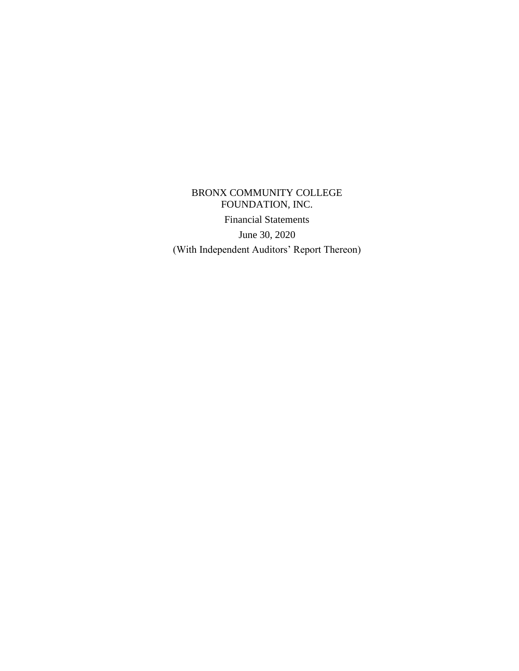BRONX COMMUNITY COLLEGE FOUNDATION, INC. Financial Statements June 30, 2020 (With Independent Auditors' Report Thereon)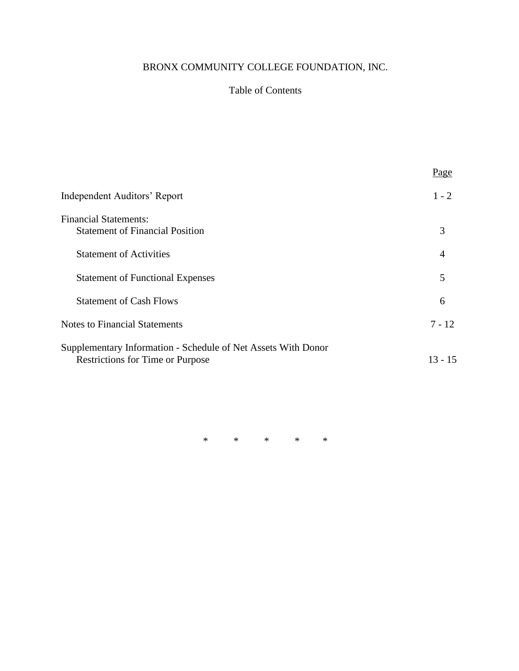## Table of Contents

|                                                                                                   | Page           |
|---------------------------------------------------------------------------------------------------|----------------|
| Independent Auditors' Report                                                                      | $1 - 2$        |
| <b>Financial Statements:</b><br><b>Statement of Financial Position</b>                            | 3              |
| <b>Statement of Activities</b>                                                                    | $\overline{4}$ |
| <b>Statement of Functional Expenses</b>                                                           | 5              |
| <b>Statement of Cash Flows</b>                                                                    | 6              |
| <b>Notes to Financial Statements</b>                                                              | $7 - 12$       |
| Supplementary Information - Schedule of Net Assets With Donor<br>Restrictions for Time or Purpose | $13 - 15$      |

\*\* \* \* \*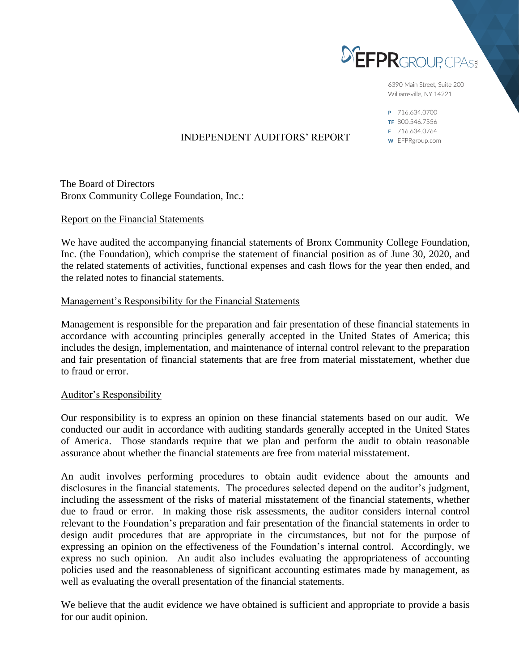

6390 Main Street, Suite 200 Williamsville, NY 14221

P 716.634.0700 TF 800.546.7556 F 716.634.0764 W EFPRgroup.com

## INDEPENDENT AUDITORS' REPORT

The Board of Directors Bronx Community College Foundation, Inc.:

## Report on the Financial Statements

We have audited the accompanying financial statements of Bronx Community College Foundation, Inc. (the Foundation), which comprise the statement of financial position as of June 30, 2020, and the related statements of activities, functional expenses and cash flows for the year then ended, and the related notes to financial statements.

## Management's Responsibility for the Financial Statements

Management is responsible for the preparation and fair presentation of these financial statements in accordance with accounting principles generally accepted in the United States of America; this includes the design, implementation, and maintenance of internal control relevant to the preparation and fair presentation of financial statements that are free from material misstatement, whether due to fraud or error.

## Auditor's Responsibility

Our responsibility is to express an opinion on these financial statements based on our audit. We conducted our audit in accordance with auditing standards generally accepted in the United States of America. Those standards require that we plan and perform the audit to obtain reasonable assurance about whether the financial statements are free from material misstatement.

An audit involves performing procedures to obtain audit evidence about the amounts and disclosures in the financial statements. The procedures selected depend on the auditor's judgment, including the assessment of the risks of material misstatement of the financial statements, whether due to fraud or error. In making those risk assessments, the auditor considers internal control relevant to the Foundation's preparation and fair presentation of the financial statements in order to design audit procedures that are appropriate in the circumstances, but not for the purpose of expressing an opinion on the effectiveness of the Foundation's internal control. Accordingly, we express no such opinion. An audit also includes evaluating the appropriateness of accounting policies used and the reasonableness of significant accounting estimates made by management, as well as evaluating the overall presentation of the financial statements.

We believe that the audit evidence we have obtained is sufficient and appropriate to provide a basis for our audit opinion.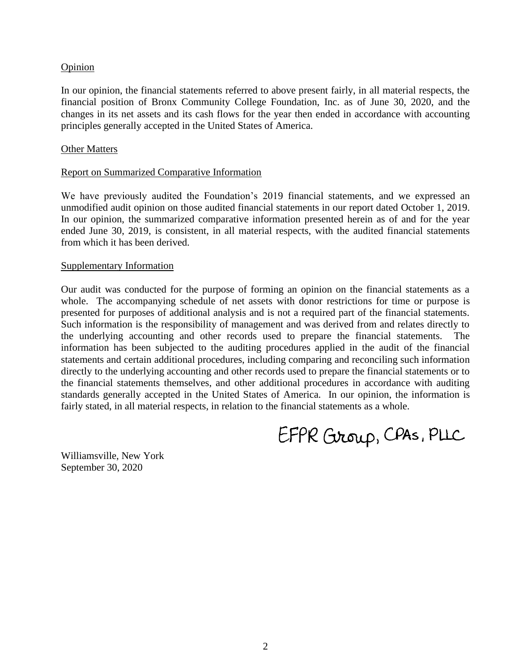### **Opinion**

In our opinion, the financial statements referred to above present fairly, in all material respects, the financial position of Bronx Community College Foundation, Inc. as of June 30, 2020, and the changes in its net assets and its cash flows for the year then ended in accordance with accounting principles generally accepted in the United States of America.

### Other Matters

### Report on Summarized Comparative Information

We have previously audited the Foundation's 2019 financial statements, and we expressed an unmodified audit opinion on those audited financial statements in our report dated October 1, 2019. In our opinion, the summarized comparative information presented herein as of and for the year ended June 30, 2019, is consistent, in all material respects, with the audited financial statements from which it has been derived.

### Supplementary Information

Our audit was conducted for the purpose of forming an opinion on the financial statements as a whole. The accompanying schedule of net assets with donor restrictions for time or purpose is presented for purposes of additional analysis and is not a required part of the financial statements. Such information is the responsibility of management and was derived from and relates directly to the underlying accounting and other records used to prepare the financial statements. The information has been subjected to the auditing procedures applied in the audit of the financial statements and certain additional procedures, including comparing and reconciling such information directly to the underlying accounting and other records used to prepare the financial statements or to the financial statements themselves, and other additional procedures in accordance with auditing standards generally accepted in the United States of America. In our opinion, the information is fairly stated, in all material respects, in relation to the financial statements as a whole.

EFPR Group, CPAS, PLLC

Williamsville, New York September 30, 2020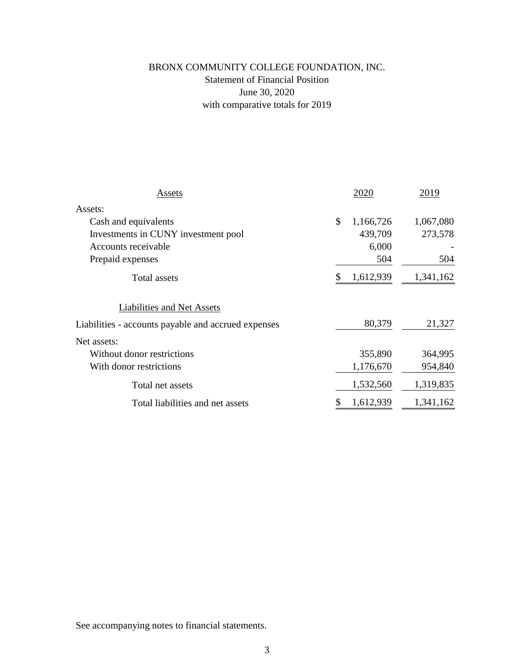## BRONX COMMUNITY COLLEGE FOUNDATION, INC. Statement of Financial Position June 30, 2020 with comparative totals for 2019

| Assets                                              | 2020            | 2019      |
|-----------------------------------------------------|-----------------|-----------|
| Assets:                                             |                 |           |
| Cash and equivalents                                | \$<br>1,166,726 | 1,067,080 |
| Investments in CUNY investment pool                 | 439,709         | 273,578   |
| Accounts receivable                                 | 6,000           |           |
| Prepaid expenses                                    | 504             | 504       |
| Total assets                                        | 1,612,939       | 1,341,162 |
| <b>Liabilities and Net Assets</b>                   |                 |           |
| Liabilities - accounts payable and accrued expenses | 80,379          | 21,327    |
| Net assets:                                         |                 |           |
| Without donor restrictions                          | 355,890         | 364,995   |
| With donor restrictions                             | 1,176,670       | 954,840   |
| Total net assets                                    | 1,532,560       | 1,319,835 |
| Total liabilities and net assets                    | 1,612,939       | 1,341,162 |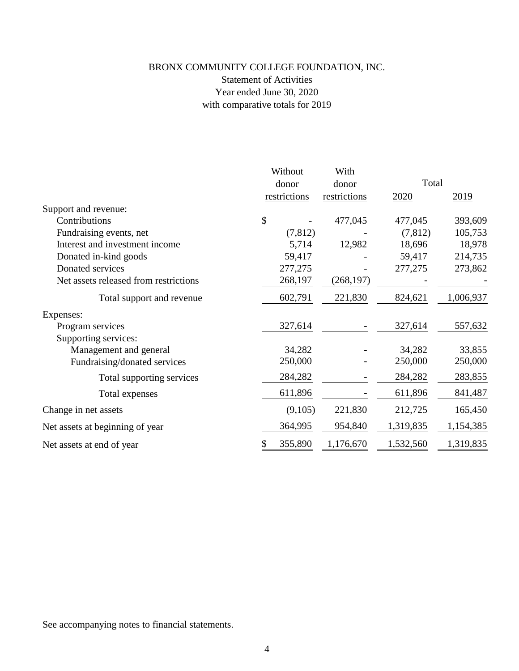## BRONX COMMUNITY COLLEGE FOUNDATION, INC. Statement of Activities Year ended June 30, 2020 with comparative totals for 2019

|                                       | Without |                              | With       |           |           |
|---------------------------------------|---------|------------------------------|------------|-----------|-----------|
|                                       | donor   |                              | donor      |           | Total     |
|                                       |         | restrictions<br>restrictions |            | 2020      | 2019      |
| Support and revenue:                  |         |                              |            |           |           |
| Contributions                         | \$      |                              | 477,045    | 477,045   | 393,609   |
| Fundraising events, net               |         | (7, 812)                     |            | (7, 812)  | 105,753   |
| Interest and investment income        |         | 5,714                        | 12,982     | 18,696    | 18,978    |
| Donated in-kind goods                 |         | 59,417                       |            | 59,417    | 214,735   |
| Donated services                      | 277,275 |                              |            | 277,275   | 273,862   |
| Net assets released from restrictions | 268,197 |                              | (268, 197) |           |           |
| Total support and revenue             | 602,791 |                              | 221,830    | 824,621   | 1,006,937 |
| Expenses:                             |         |                              |            |           |           |
| Program services                      | 327,614 |                              |            | 327,614   | 557,632   |
| Supporting services:                  |         |                              |            |           |           |
| Management and general                |         | 34,282                       |            | 34,282    | 33,855    |
| Fundraising/donated services          |         | 250,000                      |            | 250,000   | 250,000   |
| Total supporting services             | 284,282 |                              |            | 284,282   | 283,855   |
| Total expenses                        |         | 611,896                      |            | 611,896   | 841,487   |
| Change in net assets                  |         | (9,105)                      | 221,830    | 212,725   | 165,450   |
| Net assets at beginning of year       | 364,995 |                              | 954,840    | 1,319,835 | 1,154,385 |
| Net assets at end of year             | 355,890 |                              | 1,176,670  | 1,532,560 | 1,319,835 |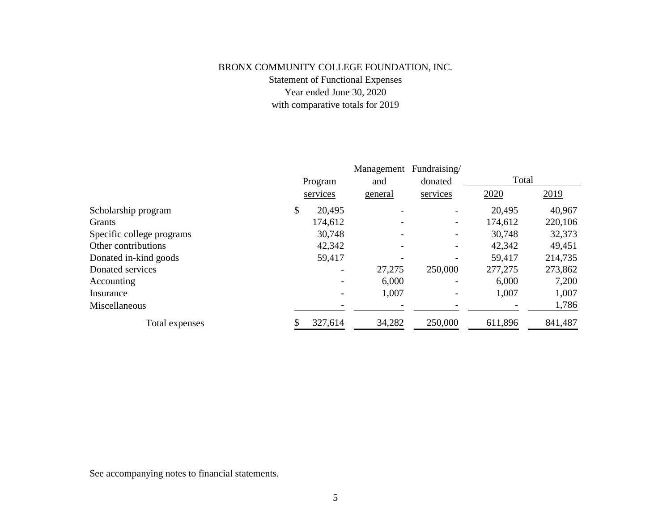## BRONX COMMUNITY COLLEGE FOUNDATION, INC. Statement of Functional Expenses Year ended June 30, 2020 with comparative totals for 2019

|                           |          | Management | Fundraising/ |         |         |
|---------------------------|----------|------------|--------------|---------|---------|
|                           | Program  | and        | donated      | Total   |         |
|                           | services | general    | services     | 2020    | 2019    |
| \$<br>Scholarship program | 20,495   |            |              | 20,495  | 40,967  |
| Grants                    | 174,612  |            |              | 174,612 | 220,106 |
| Specific college programs | 30,748   |            |              | 30,748  | 32,373  |
| Other contributions       | 42,342   |            |              | 42,342  | 49,451  |
| Donated in-kind goods     | 59,417   |            |              | 59,417  | 214,735 |
| Donated services          |          | 27,275     | 250,000      | 277,275 | 273,862 |
| Accounting                |          | 6,000      |              | 6,000   | 7,200   |
| Insurance                 |          | 1,007      |              | 1,007   | 1,007   |
| Miscellaneous             |          |            |              |         | 1,786   |
| Total expenses            | 327,614  | 34,282     | 250,000      | 611,896 | 841,487 |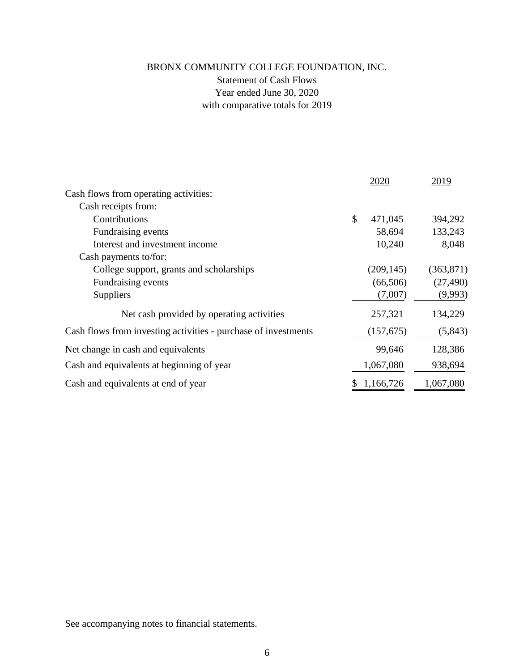## BRONX COMMUNITY COLLEGE FOUNDATION, INC. Statement of Cash Flows Year ended June 30, 2020 with comparative totals for 2019

|                                                                | 2020          | 2019       |
|----------------------------------------------------------------|---------------|------------|
| Cash flows from operating activities:                          |               |            |
| Cash receipts from:                                            |               |            |
| Contributions                                                  | \$<br>471,045 | 394,292    |
| Fundraising events                                             | 58,694        | 133,243    |
| Interest and investment income                                 | 10,240        | 8,048      |
| Cash payments to/for:                                          |               |            |
| College support, grants and scholarships                       | (209, 145)    | (363, 871) |
| Fundraising events                                             | (66, 506)     | (27, 490)  |
| Suppliers                                                      | (7,007)       | (9,993)    |
| Net cash provided by operating activities                      | 257,321       | 134,229    |
| Cash flows from investing activities - purchase of investments | (157,675)     | (5, 843)   |
| Net change in cash and equivalents                             | 99,646        | 128,386    |
| Cash and equivalents at beginning of year                      | 1,067,080     | 938,694    |
| Cash and equivalents at end of year                            | 1,166,726     | 1,067,080  |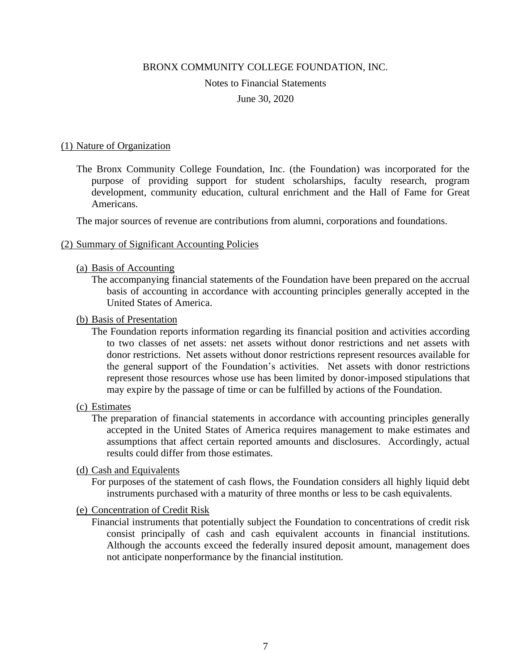### Notes to Financial Statements

June 30, 2020

#### (1) Nature of Organization

The Bronx Community College Foundation, Inc. (the Foundation) was incorporated for the purpose of providing support for student scholarships, faculty research, program development, community education, cultural enrichment and the Hall of Fame for Great Americans.

The major sources of revenue are contributions from alumni, corporations and foundations.

#### (2) Summary of Significant Accounting Policies

#### (a) Basis of Accounting

The accompanying financial statements of the Foundation have been prepared on the accrual basis of accounting in accordance with accounting principles generally accepted in the United States of America.

#### (b) Basis of Presentation

The Foundation reports information regarding its financial position and activities according to two classes of net assets: net assets without donor restrictions and net assets with donor restrictions. Net assets without donor restrictions represent resources available for the general support of the Foundation's activities. Net assets with donor restrictions represent those resources whose use has been limited by donor-imposed stipulations that may expire by the passage of time or can be fulfilled by actions of the Foundation.

#### (c) Estimates

The preparation of financial statements in accordance with accounting principles generally accepted in the United States of America requires management to make estimates and assumptions that affect certain reported amounts and disclosures. Accordingly, actual results could differ from those estimates.

#### (d) Cash and Equivalents

For purposes of the statement of cash flows, the Foundation considers all highly liquid debt instruments purchased with a maturity of three months or less to be cash equivalents.

#### (e) Concentration of Credit Risk

Financial instruments that potentially subject the Foundation to concentrations of credit risk consist principally of cash and cash equivalent accounts in financial institutions. Although the accounts exceed the federally insured deposit amount, management does not anticipate nonperformance by the financial institution.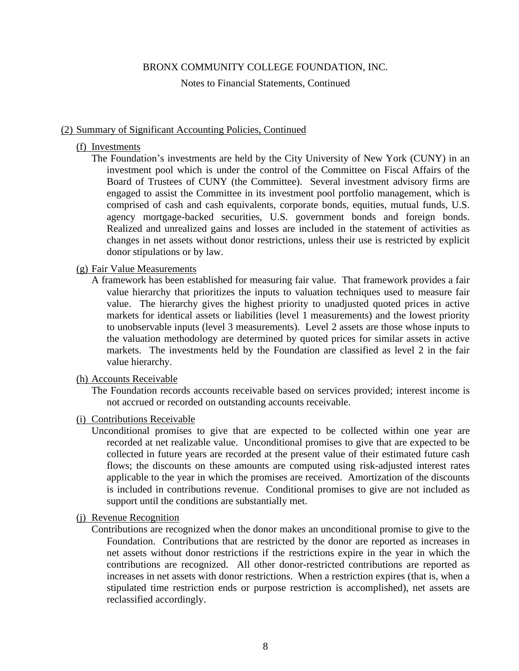Notes to Financial Statements, Continued

### (2) Summary of Significant Accounting Policies, Continued

### (f) Investments

The Foundation's investments are held by the City University of New York (CUNY) in an investment pool which is under the control of the Committee on Fiscal Affairs of the Board of Trustees of CUNY (the Committee). Several investment advisory firms are engaged to assist the Committee in its investment pool portfolio management, which is comprised of cash and cash equivalents, corporate bonds, equities, mutual funds, U.S. agency mortgage-backed securities, U.S. government bonds and foreign bonds. Realized and unrealized gains and losses are included in the statement of activities as changes in net assets without donor restrictions, unless their use is restricted by explicit donor stipulations or by law.

#### (g) Fair Value Measurements

A framework has been established for measuring fair value. That framework provides a fair value hierarchy that prioritizes the inputs to valuation techniques used to measure fair value. The hierarchy gives the highest priority to unadjusted quoted prices in active markets for identical assets or liabilities (level 1 measurements) and the lowest priority to unobservable inputs (level 3 measurements). Level 2 assets are those whose inputs to the valuation methodology are determined by quoted prices for similar assets in active markets. The investments held by the Foundation are classified as level 2 in the fair value hierarchy.

### (h) Accounts Receivable

- The Foundation records accounts receivable based on services provided; interest income is not accrued or recorded on outstanding accounts receivable.
- (i) Contributions Receivable
	- Unconditional promises to give that are expected to be collected within one year are recorded at net realizable value. Unconditional promises to give that are expected to be collected in future years are recorded at the present value of their estimated future cash flows; the discounts on these amounts are computed using risk-adjusted interest rates applicable to the year in which the promises are received. Amortization of the discounts is included in contributions revenue. Conditional promises to give are not included as support until the conditions are substantially met.

#### (j) Revenue Recognition

Contributions are recognized when the donor makes an unconditional promise to give to the Foundation. Contributions that are restricted by the donor are reported as increases in net assets without donor restrictions if the restrictions expire in the year in which the contributions are recognized. All other donor-restricted contributions are reported as increases in net assets with donor restrictions. When a restriction expires (that is, when a stipulated time restriction ends or purpose restriction is accomplished), net assets are reclassified accordingly.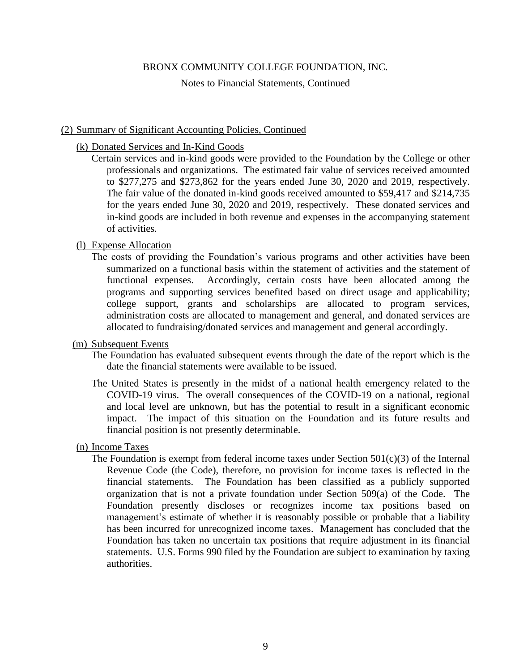Notes to Financial Statements, Continued

### (2) Summary of Significant Accounting Policies, Continued

## (k) Donated Services and In-Kind Goods

Certain services and in-kind goods were provided to the Foundation by the College or other professionals and organizations. The estimated fair value of services received amounted to \$277,275 and \$273,862 for the years ended June 30, 2020 and 2019, respectively. The fair value of the donated in-kind goods received amounted to \$59,417 and \$214,735 for the years ended June 30, 2020 and 2019, respectively. These donated services and in-kind goods are included in both revenue and expenses in the accompanying statement of activities.

## (l) Expense Allocation

The costs of providing the Foundation's various programs and other activities have been summarized on a functional basis within the statement of activities and the statement of functional expenses. Accordingly, certain costs have been allocated among the programs and supporting services benefited based on direct usage and applicability; college support, grants and scholarships are allocated to program services, administration costs are allocated to management and general, and donated services are allocated to fundraising/donated services and management and general accordingly.

#### (m) Subsequent Events

The Foundation has evaluated subsequent events through the date of the report which is the date the financial statements were available to be issued.

The United States is presently in the midst of a national health emergency related to the COVID-19 virus. The overall consequences of the COVID-19 on a national, regional and local level are unknown, but has the potential to result in a significant economic impact. The impact of this situation on the Foundation and its future results and financial position is not presently determinable.

### (n) Income Taxes

The Foundation is exempt from federal income taxes under Section  $501(c)(3)$  of the Internal Revenue Code (the Code), therefore, no provision for income taxes is reflected in the financial statements. The Foundation has been classified as a publicly supported organization that is not a private foundation under Section 509(a) of the Code. The Foundation presently discloses or recognizes income tax positions based on management's estimate of whether it is reasonably possible or probable that a liability has been incurred for unrecognized income taxes. Management has concluded that the Foundation has taken no uncertain tax positions that require adjustment in its financial statements. U.S. Forms 990 filed by the Foundation are subject to examination by taxing authorities.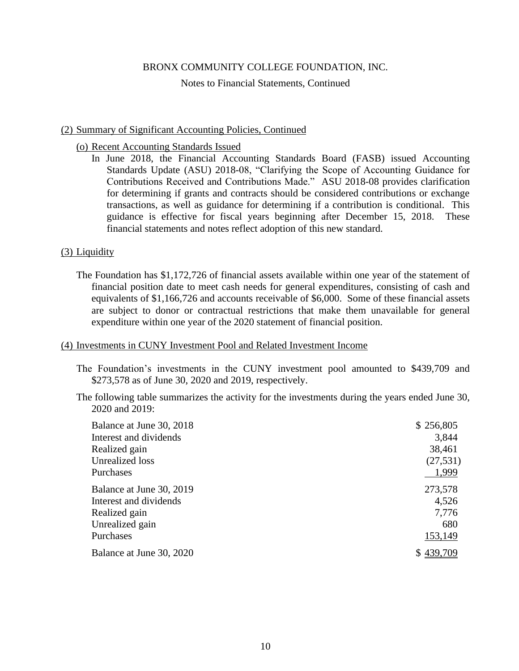### Notes to Financial Statements, Continued

### (2) Summary of Significant Accounting Policies, Continued

### (o) Recent Accounting Standards Issued

In June 2018, the Financial Accounting Standards Board (FASB) issued Accounting Standards Update (ASU) 2018-08, "Clarifying the Scope of Accounting Guidance for Contributions Received and Contributions Made." ASU 2018-08 provides clarification for determining if grants and contracts should be considered contributions or exchange transactions, as well as guidance for determining if a contribution is conditional. This guidance is effective for fiscal years beginning after December 15, 2018. These financial statements and notes reflect adoption of this new standard.

### (3) Liquidity

The Foundation has \$1,172,726 of financial assets available within one year of the statement of financial position date to meet cash needs for general expenditures, consisting of cash and equivalents of \$1,166,726 and accounts receivable of \$6,000. Some of these financial assets are subject to donor or contractual restrictions that make them unavailable for general expenditure within one year of the 2020 statement of financial position.

### (4) Investments in CUNY Investment Pool and Related Investment Income

- The Foundation's investments in the CUNY investment pool amounted to \$439,709 and \$273,578 as of June 30, 2020 and 2019, respectively.
- The following table summarizes the activity for the investments during the years ended June 30, 2020 and 2019:

| Balance at June 30, 2018 | \$256,805 |
|--------------------------|-----------|
| Interest and dividends   | 3,844     |
| Realized gain            | 38,461    |
| Unrealized loss          | (27, 531) |
| Purchases                | 1,999     |
| Balance at June 30, 2019 | 273,578   |
| Interest and dividends   | 4,526     |
| Realized gain            | 7,776     |
| Unrealized gain          | 680       |
| Purchases                | 153,149   |
| Balance at June 30, 2020 | \$439,709 |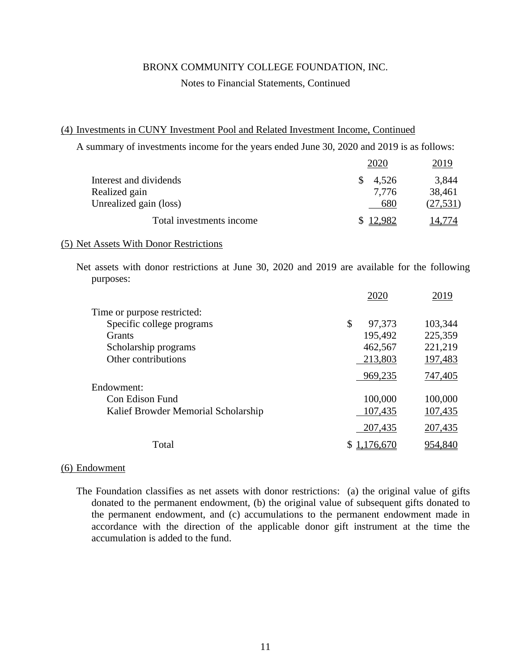## BRONX COMMUNITY COLLEGE FOUNDATION, INC. Notes to Financial Statements, Continued

## (4) Investments in CUNY Investment Pool and Related Investment Income, Continued

A summary of investments income for the years ended June 30, 2020 and 2019 is as follows:

|                          | 2020        | 2019      |
|--------------------------|-------------|-----------|
| Interest and dividends   | 4,526<br>S. | 3,844     |
| Realized gain            | 7.776       | 38,461    |
| Unrealized gain (loss)   | 680         | (27, 531) |
| Total investments income | 12,982      | 14.774    |

### (5) Net Assets With Donor Restrictions

Net assets with donor restrictions at June 30, 2020 and 2019 are available for the following purposes:

| 2020         | 2019      |
|--------------|-----------|
|              |           |
| \$<br>97,373 | 103,344   |
| 195,492      | 225,359   |
| 462,567      | 221,219   |
| 213,803      | 197,483   |
| 969,235      | 747,405   |
|              |           |
| 100,000      | 100,000   |
| 107,435      | 107,435   |
| 207,435      | 207,435   |
|              | 954,840   |
|              | 1,176,670 |

## (6) Endowment

The Foundation classifies as net assets with donor restrictions: (a) the original value of gifts donated to the permanent endowment, (b) the original value of subsequent gifts donated to the permanent endowment, and (c) accumulations to the permanent endowment made in accordance with the direction of the applicable donor gift instrument at the time the accumulation is added to the fund.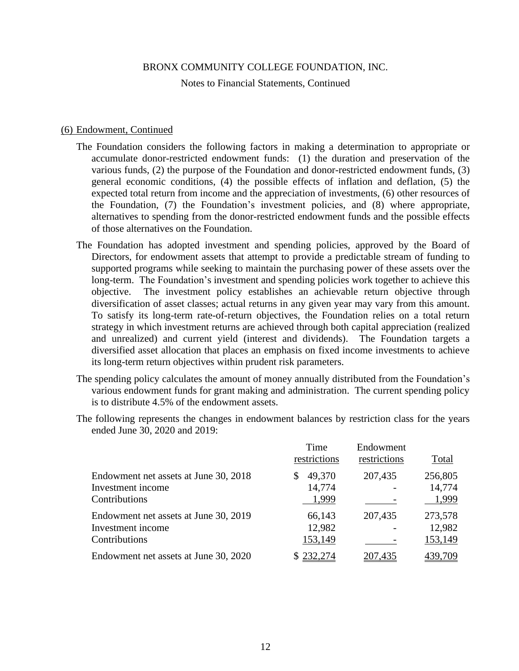Notes to Financial Statements, Continued

#### (6) Endowment, Continued

- The Foundation considers the following factors in making a determination to appropriate or accumulate donor-restricted endowment funds: (1) the duration and preservation of the various funds, (2) the purpose of the Foundation and donor-restricted endowment funds, (3) general economic conditions, (4) the possible effects of inflation and deflation, (5) the expected total return from income and the appreciation of investments, (6) other resources of the Foundation, (7) the Foundation's investment policies, and (8) where appropriate, alternatives to spending from the donor-restricted endowment funds and the possible effects of those alternatives on the Foundation.
- The Foundation has adopted investment and spending policies, approved by the Board of Directors, for endowment assets that attempt to provide a predictable stream of funding to supported programs while seeking to maintain the purchasing power of these assets over the long-term. The Foundation's investment and spending policies work together to achieve this objective. The investment policy establishes an achievable return objective through diversification of asset classes; actual returns in any given year may vary from this amount. To satisfy its long-term rate-of-return objectives, the Foundation relies on a total return strategy in which investment returns are achieved through both capital appreciation (realized and unrealized) and current yield (interest and dividends). The Foundation targets a diversified asset allocation that places an emphasis on fixed income investments to achieve its long-term return objectives within prudent risk parameters.
- The spending policy calculates the amount of money annually distributed from the Foundation's various endowment funds for grant making and administration. The current spending policy is to distribute 4.5% of the endowment assets.
- The following represents the changes in endowment balances by restriction class for the years ended June 30, 2020 and 2019:

|                                                                             | Time<br>restrictions        | Endowment<br>restrictions | Total                        |
|-----------------------------------------------------------------------------|-----------------------------|---------------------------|------------------------------|
| Endowment net assets at June 30, 2018                                       | 49,370                      | 207,435                   | 256,805                      |
| Investment income<br>Contributions                                          | 14,774<br>1,999             |                           | 14,774<br>1,999              |
| Endowment net assets at June 30, 2019<br>Investment income<br>Contributions | 66,143<br>12,982<br>153,149 | 207,435                   | 273,578<br>12,982<br>153,149 |
| Endowment net assets at June 30, 2020                                       |                             | 207.435                   | 439.709                      |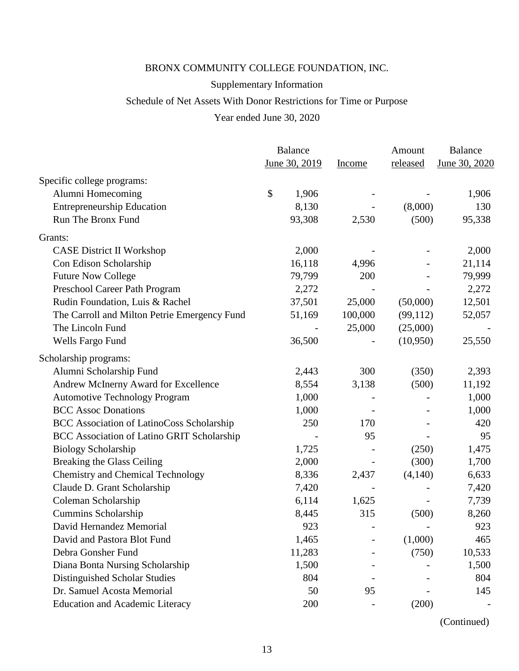## Supplementary Information

## Schedule of Net Assets With Donor Restrictions for Time or Purpose

Year ended June 30, 2020

|                                                   | <b>Balance</b> |               | Amount  | <b>Balance</b> |               |  |
|---------------------------------------------------|----------------|---------------|---------|----------------|---------------|--|
|                                                   |                | June 30, 2019 | Income  | released       | June 30, 2020 |  |
| Specific college programs:                        |                |               |         |                |               |  |
| Alumni Homecoming                                 | \$             | 1,906         |         |                | 1,906         |  |
| <b>Entrepreneurship Education</b>                 |                | 8,130         |         | (8,000)        | 130           |  |
| Run The Bronx Fund                                |                | 93,308        | 2,530   | (500)          | 95,338        |  |
| Grants:                                           |                |               |         |                |               |  |
| <b>CASE District II Workshop</b>                  |                | 2,000         |         |                | 2,000         |  |
| Con Edison Scholarship                            |                | 16,118        | 4,996   |                | 21,114        |  |
| <b>Future Now College</b>                         |                | 79,799        | 200     |                | 79,999        |  |
| Preschool Career Path Program                     |                | 2,272         |         |                | 2,272         |  |
| Rudin Foundation, Luis & Rachel                   |                | 37,501        | 25,000  | (50,000)       | 12,501        |  |
| The Carroll and Milton Petrie Emergency Fund      |                | 51,169        | 100,000 | (99, 112)      | 52,057        |  |
| The Lincoln Fund                                  |                |               | 25,000  | (25,000)       |               |  |
| Wells Fargo Fund                                  |                | 36,500        |         | (10,950)       | 25,550        |  |
| Scholarship programs:                             |                |               |         |                |               |  |
| Alumni Scholarship Fund                           |                | 2,443         | 300     | (350)          | 2,393         |  |
| Andrew McInerny Award for Excellence              |                | 8,554         | 3,138   | (500)          | 11,192        |  |
| <b>Automotive Technology Program</b>              |                | 1,000         |         |                | 1,000         |  |
| <b>BCC Assoc Donations</b>                        |                | 1,000         |         |                | 1,000         |  |
| <b>BCC</b> Association of LatinoCoss Scholarship  |                | 250           | 170     |                | 420           |  |
| <b>BCC Association of Latino GRIT Scholarship</b> |                |               | 95      |                | 95            |  |
| <b>Biology Scholarship</b>                        |                | 1,725         |         | (250)          | 1,475         |  |
| <b>Breaking the Glass Ceiling</b>                 |                | 2,000         |         | (300)          | 1,700         |  |
| <b>Chemistry and Chemical Technology</b>          |                | 8,336         | 2,437   | (4,140)        | 6,633         |  |
| Claude D. Grant Scholarship                       |                | 7,420         |         |                | 7,420         |  |
| Coleman Scholarship                               |                | 6,114         | 1,625   |                | 7,739         |  |
| <b>Cummins Scholarship</b>                        |                | 8,445         | 315     | (500)          | 8,260         |  |
| David Hernandez Memorial                          |                | 923           |         |                | 923           |  |
| David and Pastora Blot Fund                       |                | 1,465         |         | (1,000)        | 465           |  |
| Debra Gonsher Fund                                |                | 11,283        |         | (750)          | 10,533        |  |
| Diana Bonta Nursing Scholarship                   |                | 1,500         |         |                | 1,500         |  |
| Distinguished Scholar Studies                     |                | 804           |         |                | 804           |  |
| Dr. Samuel Acosta Memorial                        |                | 50            | 95      |                | 145           |  |
| <b>Education and Academic Literacy</b>            |                | 200           |         | (200)          |               |  |

(Continued)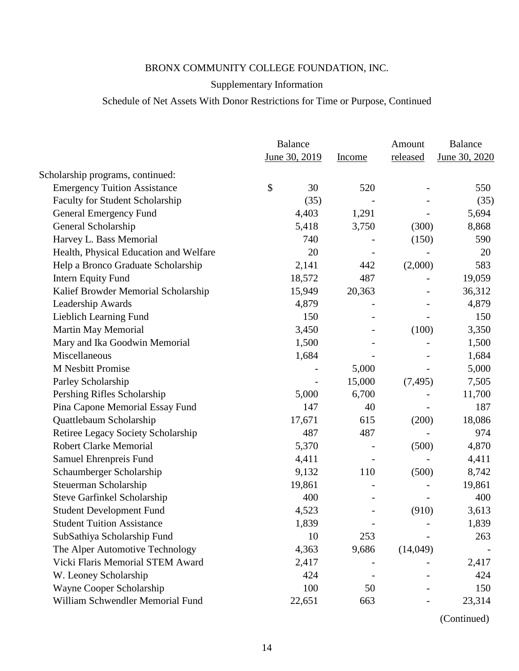## Supplementary Information

## Schedule of Net Assets With Donor Restrictions for Time or Purpose, Continued

|                                        | <b>Balance</b> |        | Amount   | <b>Balance</b> |
|----------------------------------------|----------------|--------|----------|----------------|
|                                        | June 30, 2019  | Income | released | June 30, 2020  |
| Scholarship programs, continued:       |                |        |          |                |
| <b>Emergency Tuition Assistance</b>    | \$<br>30       | 520    |          | 550            |
| <b>Faculty for Student Scholarship</b> | (35)           |        |          | (35)           |
| <b>General Emergency Fund</b>          | 4,403          | 1,291  |          | 5,694          |
| General Scholarship                    | 5,418          | 3,750  | (300)    | 8,868          |
| Harvey L. Bass Memorial                | 740            |        | (150)    | 590            |
| Health, Physical Education and Welfare | 20             |        |          | 20             |
| Help a Bronco Graduate Scholarship     | 2,141          | 442    | (2,000)  | 583            |
| <b>Intern Equity Fund</b>              | 18,572         | 487    |          | 19,059         |
| Kalief Browder Memorial Scholarship    | 15,949         | 20,363 |          | 36,312         |
| Leadership Awards                      | 4,879          |        |          | 4,879          |
| Lieblich Learning Fund                 | 150            |        |          | 150            |
| Martin May Memorial                    | 3,450          |        | (100)    | 3,350          |
| Mary and Ika Goodwin Memorial          | 1,500          |        |          | 1,500          |
| Miscellaneous                          | 1,684          |        |          | 1,684          |
| M Nesbitt Promise                      |                | 5,000  |          | 5,000          |
| Parley Scholarship                     |                | 15,000 | (7, 495) | 7,505          |
| Pershing Rifles Scholarship            | 5,000          | 6,700  |          | 11,700         |
| Pina Capone Memorial Essay Fund        | 147            | 40     |          | 187            |
| Quattlebaum Scholarship                | 17,671         | 615    | (200)    | 18,086         |
| Retiree Legacy Society Scholarship     | 487            | 487    |          | 974            |
| <b>Robert Clarke Memorial</b>          | 5,370          |        | (500)    | 4,870          |
| Samuel Ehrenpreis Fund                 | 4,411          |        |          | 4,411          |
| Schaumberger Scholarship               | 9,132          | 110    | (500)    | 8,742          |
| Steuerman Scholarship                  | 19,861         |        |          | 19,861         |
| <b>Steve Garfinkel Scholarship</b>     | 400            |        |          | 400            |
| <b>Student Development Fund</b>        | 4,523          |        | (910)    | 3,613          |
| <b>Student Tuition Assistance</b>      | 1,839          |        |          | 1,839          |
| SubSathiya Scholarship Fund            | 10             | 253    |          | 263            |
| The Alper Automotive Technology        | 4,363          | 9,686  | (14,049) |                |
| Vicki Flaris Memorial STEM Award       | 2,417          |        |          | 2,417          |
| W. Leoney Scholarship                  | 424            |        |          | 424            |
| Wayne Cooper Scholarship               | 100            | 50     |          | 150            |
| William Schwendler Memorial Fund       | 22,651         | 663    |          | 23,314         |

(Continued)